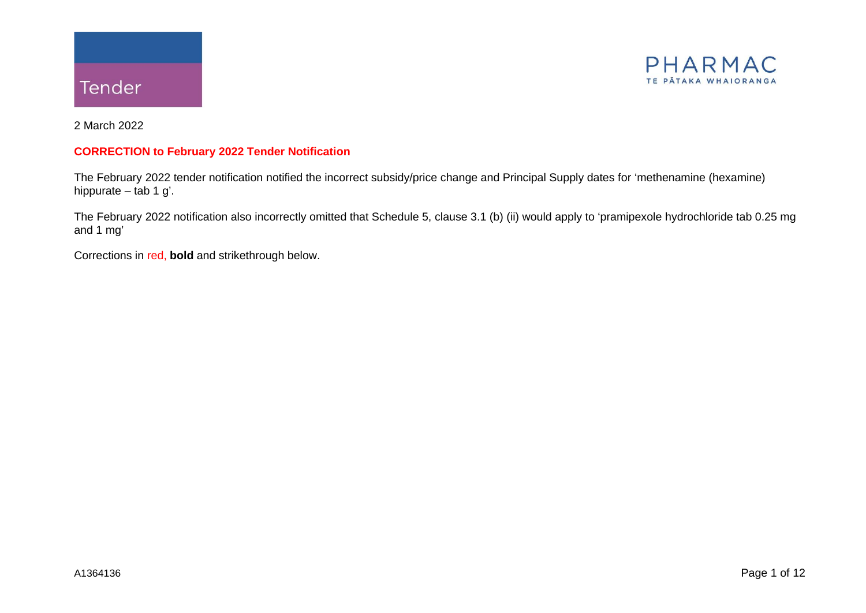



2 March 2022

#### **CORRECTION to February 2022 Tender Notification**

The February 2022 tender notification notified the incorrect subsidy/price change and Principal Supply dates for 'methenamine (hexamine) hippurate – tab 1 g'.

The February 2022 notification also incorrectly omitted that Schedule 5, clause 3.1 (b) (ii) would apply to 'pramipexole hydrochloride tab 0.25 mg and 1 mg'

Corrections in red, **bold** and strikethrough below.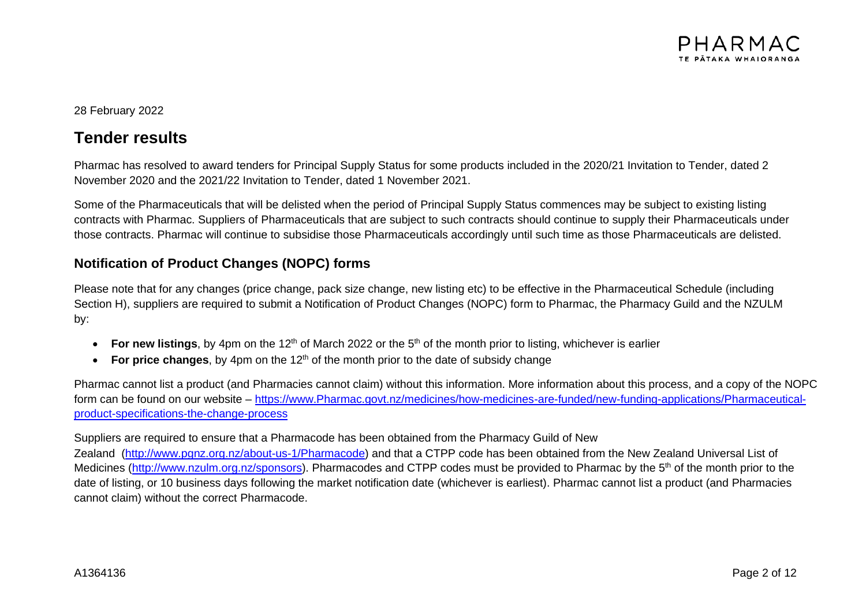

#### 28 February 2022

# **Tender results**

Pharmac has resolved to award tenders for Principal Supply Status for some products included in the 2020/21 Invitation to Tender, dated 2 November 2020 and the 2021/22 Invitation to Tender, dated 1 November 2021.

Some of the Pharmaceuticals that will be delisted when the period of Principal Supply Status commences may be subject to existing listing contracts with Pharmac. Suppliers of Pharmaceuticals that are subject to such contracts should continue to supply their Pharmaceuticals under those contracts. Pharmac will continue to subsidise those Pharmaceuticals accordingly until such time as those Pharmaceuticals are delisted.

### **Notification of Product Changes (NOPC) forms**

Please note that for any changes (price change, pack size change, new listing etc) to be effective in the Pharmaceutical Schedule (including Section H), suppliers are required to submit a Notification of Product Changes (NOPC) form to Pharmac, the Pharmacy Guild and the NZULM by:

- For new listings, by 4pm on the 12<sup>th</sup> of March 2022 or the 5<sup>th</sup> of the month prior to listing, whichever is earlier
- For price changes, by 4pm on the 12<sup>th</sup> of the month prior to the date of subsidy change

Pharmac cannot list a product (and Pharmacies cannot claim) without this information. More information about this process, and a copy of the NOPC form can be found on our website – [https://www.Pharmac.govt.nz/medicines/how-medicines-are-funded/new-funding-applications/Pharmaceutical](https://www.pharmac.govt.nz/medicines/how-medicines-are-funded/new-funding-applications/pharmaceutical-product-specifications-the-change-process)[product-specifications-the-change-process](https://www.pharmac.govt.nz/medicines/how-medicines-are-funded/new-funding-applications/pharmaceutical-product-specifications-the-change-process)

#### Suppliers are required to ensure that a Pharmacode has been obtained from the Pharmacy Guild of New

Zealand [\(http://www.pgnz.org.nz/about-us-1/Pharmacode\)](http://www.pgnz.org.nz/about-us-1/pharmacode) and that a CTPP code has been obtained from the New Zealand Universal List of Medicines [\(http://www.nzulm.org.nz/sponsors\)](http://www.nzulm.org.nz/sponsors). Pharmacodes and CTPP codes must be provided to Pharmac by the 5<sup>th</sup> of the month prior to the date of listing, or 10 business days following the market notification date (whichever is earliest). Pharmac cannot list a product (and Pharmacies cannot claim) without the correct Pharmacode.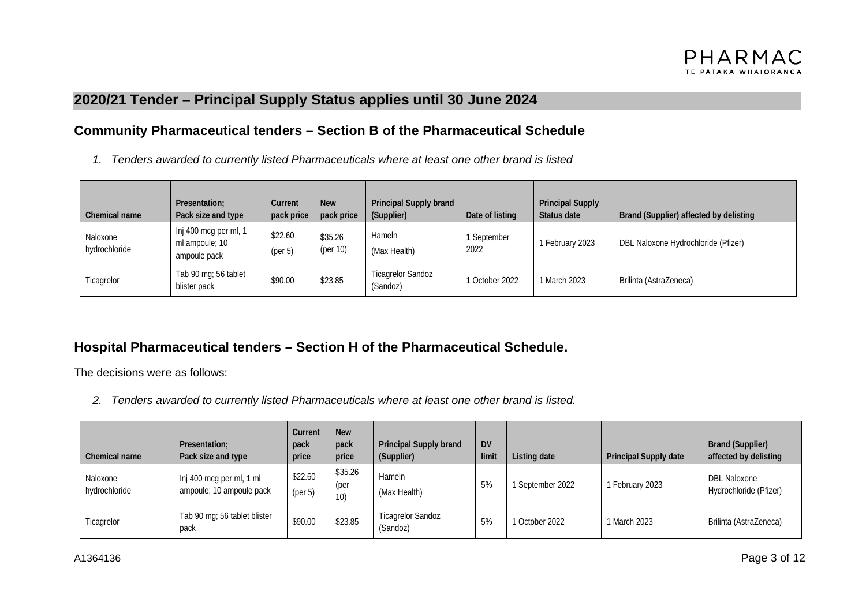## **2020/21 Tender – Principal Supply Status applies until 30 June 2024**

### **Community Pharmaceutical tenders – Section B of the Pharmaceutical Schedule**

*1. Tenders awarded to currently listed Pharmaceuticals where at least one other brand is listed*

| Chemical name             | Presentation;<br>Pack size and type                     | Current<br>pack price | <b>New</b><br>pack price | Principal Supply brand<br>(Supplier) | Date of listing   | <b>Principal Supply</b><br>Status date | Brand (Supplier) affected by delisting |
|---------------------------|---------------------------------------------------------|-----------------------|--------------------------|--------------------------------------|-------------------|----------------------------------------|----------------------------------------|
| Naloxone<br>hydrochloride | Inj 400 mcg per ml, 1<br>ml ampoule; 10<br>ampoule pack | \$22.60<br>(per 5)    | \$35.26<br>(per 10)      | Hameln<br>(Max Health)               | September<br>2022 | February 2023                          | DBL Naloxone Hydrochloride (Pfizer)    |
| Ticagrelor                | Tab 90 mg; 56 tablet<br>blister pack                    | \$90.00               | \$23.85                  | <b>Ticagrelor Sandoz</b><br>(Sandoz) | 1 October 2022    | March 2023                             | Brilinta (AstraZeneca)                 |

## **Hospital Pharmaceutical tenders – Section H of the Pharmaceutical Schedule.**

The decisions were as follows:

*2. Tenders awarded to currently listed Pharmaceuticals where at least one other brand is listed.*

| Chemical name             | Presentation:<br>Pack size and type                  | Current<br>pack<br>price | <b>New</b><br>pack<br>price | <b>Principal Supply brand</b><br>(Supplier) | <b>DV</b><br>limit | Listing date     | Principal Supply date | <b>Brand (Supplier)</b><br>affected by delisting |
|---------------------------|------------------------------------------------------|--------------------------|-----------------------------|---------------------------------------------|--------------------|------------------|-----------------------|--------------------------------------------------|
| Naloxone<br>hydrochloride | Inj 400 mcg per ml, 1 ml<br>ampoule; 10 ampoule pack | \$22.60<br>(per 5)       | \$35.26<br>(per<br>10)      | Hameln<br>(Max Health)                      | 5%                 | 1 September 2022 | 1 February 2023       | DBL Naloxone<br>Hydrochloride (Pfizer)           |
| Ticagrelor                | Tab 90 mg; 56 tablet blister<br>pack                 | \$90.00                  | \$23.85                     | <b>Ticagrelor Sandoz</b><br>(Sandoz)        | 5%                 | 1 October 2022   | 1 March 2023          | Brilinta (AstraZeneca)                           |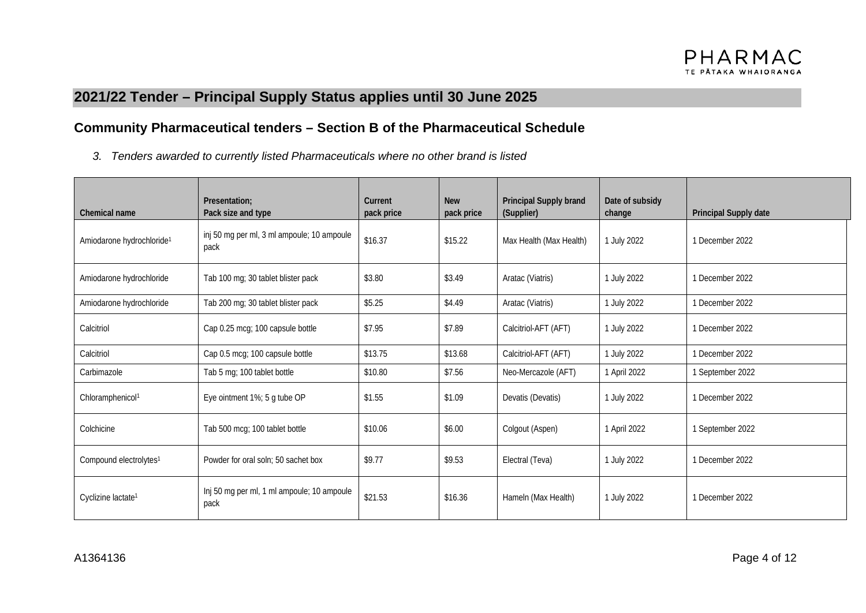# **2021/22 Tender – Principal Supply Status applies until 30 June 2025**

## **Community Pharmaceutical tenders – Section B of the Pharmaceutical Schedule**

*3. Tenders awarded to currently listed Pharmaceuticals where no other brand is listed*

| Chemical name                         | Presentation:<br>Pack size and type                | Current<br>pack price | <b>New</b><br>pack price | Principal Supply brand<br>(Supplier) | Date of subsidy<br>change | Principal Supply date |
|---------------------------------------|----------------------------------------------------|-----------------------|--------------------------|--------------------------------------|---------------------------|-----------------------|
| Amiodarone hydrochloride <sup>1</sup> | inj 50 mg per ml, 3 ml ampoule; 10 ampoule<br>pack | \$16.37               | \$15.22                  | Max Health (Max Health)              | 1 July 2022               | 1 December 2022       |
| Amiodarone hydrochloride              | Tab 100 mg; 30 tablet blister pack                 | \$3.80                | \$3.49                   | Aratac (Viatris)                     | 1 July 2022               | 1 December 2022       |
| Amiodarone hydrochloride              | Tab 200 mg; 30 tablet blister pack                 | \$5.25                | \$4.49                   | Aratac (Viatris)                     | 1 July 2022               | 1 December 2022       |
| Calcitriol                            | Cap 0.25 mcg; 100 capsule bottle                   | \$7.95                | \$7.89                   | Calcitriol-AFT (AFT)                 | 1 July 2022               | 1 December 2022       |
| Calcitriol                            | Cap 0.5 mcg; 100 capsule bottle                    | \$13.75               | \$13.68                  | Calcitriol-AFT (AFT)                 | 1 July 2022               | 1 December 2022       |
| Carbimazole                           | Tab 5 mg; 100 tablet bottle                        | \$10.80               | \$7.56                   | Neo-Mercazole (AFT)                  | 1 April 2022              | 1 September 2022      |
| Chloramphenicol <sup>1</sup>          | Eye ointment 1%; 5 g tube OP                       | \$1.55                | \$1.09                   | Devatis (Devatis)                    | 1 July 2022               | 1 December 2022       |
| Colchicine                            | Tab 500 mcg; 100 tablet bottle                     | \$10.06               | \$6.00                   | Colgout (Aspen)                      | 1 April 2022              | 1 September 2022      |
| Compound electrolytes <sup>1</sup>    | Powder for oral soln: 50 sachet box                | \$9.77                | \$9.53                   | Electral (Teva)                      | 1 July 2022               | 1 December 2022       |
| Cyclizine lactate <sup>1</sup>        | Inj 50 mg per ml, 1 ml ampoule; 10 ampoule<br>pack | \$21.53               | \$16.36                  | Hameln (Max Health)                  | 1 July 2022               | 1 December 2022       |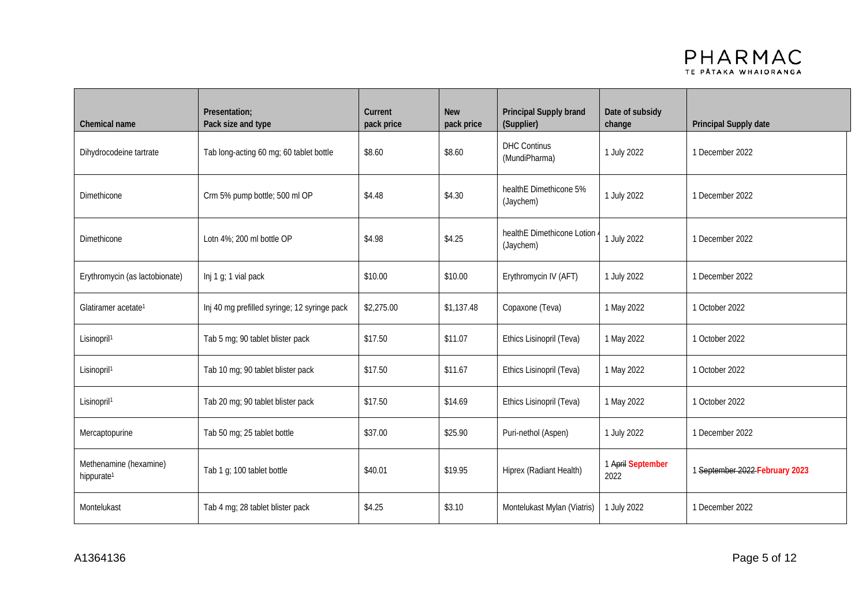

| Chemical name                                    | Presentation;<br>Pack size and type          | Current<br>pack price | <b>New</b><br>pack price | Principal Supply brand<br>(Supplier)               | Date of subsidy<br>change | Principal Supply date        |
|--------------------------------------------------|----------------------------------------------|-----------------------|--------------------------|----------------------------------------------------|---------------------------|------------------------------|
| Dihydrocodeine tartrate                          | Tab long-acting 60 mg; 60 tablet bottle      | \$8.60                | \$8.60                   | <b>DHC Continus</b><br>(MundiPharma)               | 1 July 2022               | 1 December 2022              |
| <b>Dimethicone</b>                               | Crm 5% pump bottle; 500 ml OP                | \$4.48                | \$4.30                   | healthE Dimethicone 5%<br>1 July 2022<br>(Jaychem) |                           | 1 December 2022              |
| <b>Dimethicone</b>                               | Lotn 4%: 200 ml bottle OP                    | \$4.98                | \$4.25                   | healthE Dimethicone Lotion<br>(Jaychem)            | 1 July 2022               | 1 December 2022              |
| Erythromycin (as lactobionate)                   | Inj 1 g; 1 vial pack                         | \$10.00               | \$10.00                  | Erythromycin IV (AFT)                              | 1 July 2022               | 1 December 2022              |
| Glatiramer acetate <sup>1</sup>                  | Inj 40 mg prefilled syringe; 12 syringe pack | \$2,275.00            | \$1,137.48               | Copaxone (Teva)                                    | 1 May 2022                | 1 October 2022               |
| Lisinopril <sup>1</sup>                          | Tab 5 mg; 90 tablet blister pack             | \$17.50               | \$11.07                  | Ethics Lisinopril (Teva)                           | 1 May 2022                | 1 October 2022               |
| Lisinopril <sup>1</sup>                          | Tab 10 mg; 90 tablet blister pack            | \$17.50               | \$11.67                  | Ethics Lisinopril (Teva)                           | 1 May 2022                | 1 October 2022               |
| Lisinopril <sup>1</sup>                          | Tab 20 mg; 90 tablet blister pack            | \$17.50               | \$14.69                  | Ethics Lisinopril (Teva)                           | 1 May 2022                | 1 October 2022               |
| Mercaptopurine                                   | Tab 50 mg; 25 tablet bottle                  | \$37.00               | \$25.90                  | Puri-nethol (Aspen)                                | 1 July 2022               | 1 December 2022              |
| Methenamine (hexamine)<br>hippurate <sup>1</sup> | Tab 1 g; 100 tablet bottle                   | \$40.01               | \$19.95                  | Hiprex (Radiant Health)                            | 1 April September<br>2022 | September 2022 February 2023 |
| Montelukast                                      | Tab 4 mg; 28 tablet blister pack             | \$4.25                | \$3.10                   | Montelukast Mylan (Viatris)                        | 1 July 2022               | 1 December 2022              |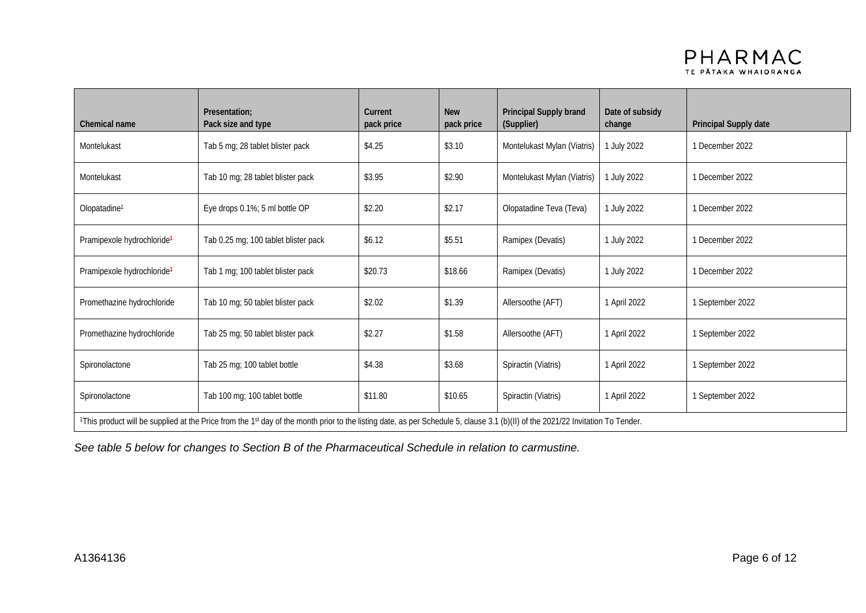

| Chemical name                          | Presentation:<br>Pack size and type                                                                                                                                             | Current<br>pack price | <b>New</b><br>pack price | Principal Supply brand<br>(Supplier) | Date of subsidy<br>change | Principal Supply date |
|----------------------------------------|---------------------------------------------------------------------------------------------------------------------------------------------------------------------------------|-----------------------|--------------------------|--------------------------------------|---------------------------|-----------------------|
| Montelukast                            | Tab 5 mg; 28 tablet blister pack                                                                                                                                                | \$4.25                | \$3.10                   | Montelukast Mylan (Viatris)          | 1 July 2022               | 1 December 2022       |
| Montelukast                            | Tab 10 mg; 28 tablet blister pack                                                                                                                                               | \$3.95                | \$2.90                   | Montelukast Mylan (Viatris)          | 1 July 2022               | 1 December 2022       |
| Olopatadine <sup>1</sup>               | Eye drops 0.1%; 5 ml bottle OP                                                                                                                                                  | \$2.20                | \$2.17                   | Olopatadine Teva (Teva)              | 1 July 2022               | 1 December 2022       |
| Pramipexole hydrochloride <sup>1</sup> | Tab 0.25 mg; 100 tablet blister pack                                                                                                                                            | \$6.12                | \$5.51                   | Ramipex (Devatis)                    | 1 July 2022               | 1 December 2022       |
| Pramipexole hydrochloride <sup>1</sup> | Tab 1 mg; 100 tablet blister pack                                                                                                                                               | \$20.73               | \$18.66                  | Ramipex (Devatis)                    | 1 July 2022               | 1 December 2022       |
| Promethazine hydrochloride             | Tab 10 mg; 50 tablet blister pack                                                                                                                                               | \$2.02                | \$1.39                   | Allersoothe (AFT)                    | 1 April 2022              | 1 September 2022      |
| Promethazine hydrochloride             | Tab 25 mg; 50 tablet blister pack                                                                                                                                               | \$2.27                | \$1.58                   | Allersoothe (AFT)                    | 1 April 2022              | 1 September 2022      |
| Spironolactone                         | Tab 25 mg; 100 tablet bottle                                                                                                                                                    | \$4.38                | \$3.68                   | Spiractin (Viatris)                  | 1 April 2022              | 1 September 2022      |
| Spironolactone                         | Tab 100 mg; 100 tablet bottle                                                                                                                                                   | \$11.80               | \$10.65                  | Spiractin (Viatris)                  | 1 April 2022              | 1 September 2022      |
|                                        | 1This product will be supplied at the Price from the 1st day of the month prior to the listing date, as per Schedule 5, clause 3.1 (b)(II) of the 2021/22 Invitation To Tender. |                       |                          |                                      |                           |                       |

*See table 5 below for changes to Section B of the Pharmaceutical Schedule in relation to carmustine.*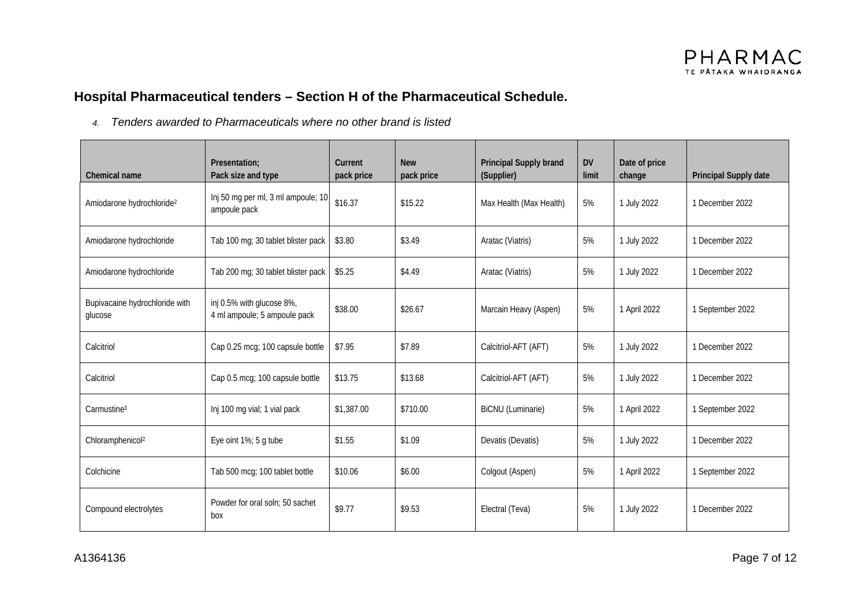# **Hospital Pharmaceutical tenders – Section H of the Pharmaceutical Schedule.**

*4. Tenders awarded to Pharmaceuticals where no other brand is listed*

| Chemical name                             | Presentation:<br>Pack size and type                       | Current<br>pack price | <b>New</b><br>pack price | Principal Supply brand<br>(Supplier) | <b>DV</b><br>limit | Date of price<br>change | Principal Supply date |
|-------------------------------------------|-----------------------------------------------------------|-----------------------|--------------------------|--------------------------------------|--------------------|-------------------------|-----------------------|
| Amiodarone hydrochloride <sup>2</sup>     | Inj 50 mg per ml, 3 ml ampoule; 10<br>ampoule pack        | \$16.37               | \$15.22                  | Max Health (Max Health)              | 5%                 | 1 July 2022             | 1 December 2022       |
| Amiodarone hydrochloride                  | Tab 100 mg; 30 tablet blister pack                        | \$3.80                | \$3.49                   | Aratac (Viatris)                     | 5%                 | 1 July 2022             | 1 December 2022       |
| Amiodarone hydrochloride                  | Tab 200 mg; 30 tablet blister pack                        | \$5.25                | \$4.49                   | Aratac (Viatris)                     | 5%                 | 1 July 2022             | 1 December 2022       |
| Bupivacaine hydrochloride with<br>glucose | inj 0.5% with glucose 8%,<br>4 ml ampoule; 5 ampoule pack | \$38.00               | \$26.67                  | Marcain Heavy (Aspen)                | 5%                 | 1 April 2022            | 1 September 2022      |
| Calcitriol                                | Cap 0.25 mcg; 100 capsule bottle                          | \$7.95                | \$7.89                   | Calcitriol-AFT (AFT)                 | 5%                 | 1 July 2022             | 1 December 2022       |
| Calcitriol                                | Cap 0.5 mcg; 100 capsule bottle                           | \$13.75               | \$13.68                  | Calcitriol-AFT (AFT)                 | 5%                 | 1 July 2022             | 1 December 2022       |
| Carmustine <sup>3</sup>                   | Inj 100 mg vial; 1 vial pack                              | \$1,387.00            | \$710.00                 | <b>BiCNU</b> (Luminarie)             | 5%                 | 1 April 2022            | 1 September 2022      |
| Chloramphenicol <sup>2</sup>              | Eye oint 1%; 5 g tube                                     | \$1.55                | \$1.09                   | Devatis (Devatis)                    | 5%                 | 1 July 2022             | 1 December 2022       |
| Colchicine                                | Tab 500 mcg; 100 tablet bottle                            | \$10.06               | \$6.00                   | Colgout (Aspen)                      | 5%                 | 1 April 2022            | 1 September 2022      |
| Compound electrolytes                     | Powder for oral soln: 50 sachet<br>box                    | \$9.77                | \$9.53                   | Electral (Teva)                      | 5%                 | 1 July 2022             | 1 December 2022       |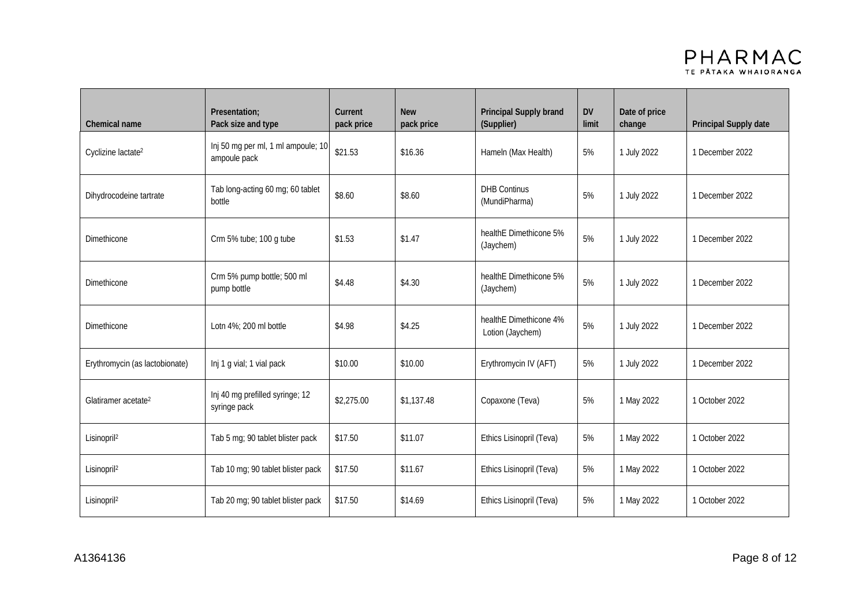

| Chemical name                   | Presentation;<br>Pack size and type                | Current<br>pack price | <b>New</b><br>pack price | Principal Supply brand<br>(Supplier)       | <b>DV</b><br>limit | Date of price<br>change | Principal Supply date |
|---------------------------------|----------------------------------------------------|-----------------------|--------------------------|--------------------------------------------|--------------------|-------------------------|-----------------------|
| Cyclizine lactate <sup>2</sup>  | Inj 50 mg per ml, 1 ml ampoule; 10<br>ampoule pack | \$21.53               | \$16.36                  | Hameln (Max Health)                        | 5%                 | 1 July 2022             | 1 December 2022       |
| Dihydrocodeine tartrate         | Tab long-acting 60 mg; 60 tablet<br>bottle         | \$8.60                | \$8.60                   | <b>DHB Continus</b><br>(MundiPharma)       | 5%                 | 1 July 2022             | 1 December 2022       |
| Dimethicone                     | Crm 5% tube; 100 g tube                            | \$1.53                | \$1.47                   | healthE Dimethicone 5%<br>(Jaychem)        | 5%                 | 1 July 2022             | 1 December 2022       |
| <b>Dimethicone</b>              | Crm 5% pump bottle; 500 ml<br>pump bottle          | \$4.48                | \$4.30                   | healthE Dimethicone 5%<br>(Jaychem)        | 5%                 | 1 July 2022             | 1 December 2022       |
| Dimethicone                     | Lotn 4%; 200 ml bottle                             | \$4.98                | \$4.25                   | healthE Dimethicone 4%<br>Lotion (Jaychem) | 5%                 | 1 July 2022             | 1 December 2022       |
| Erythromycin (as lactobionate)  | Inj 1 g vial; 1 vial pack                          | \$10.00               | \$10.00                  | Erythromycin IV (AFT)                      | 5%                 | 1 July 2022             | 1 December 2022       |
| Glatiramer acetate <sup>2</sup> | Inj 40 mg prefilled syringe; 12<br>syringe pack    | \$2,275.00            | \$1,137.48               | Copaxone (Teva)                            | 5%                 | 1 May 2022              | 1 October 2022        |
| Lisinopril <sup>2</sup>         | Tab 5 mg; 90 tablet blister pack                   | \$17.50               | \$11.07                  | Ethics Lisinopril (Teva)                   | 5%                 | 1 May 2022              | 1 October 2022        |
| Lisinopril <sup>2</sup>         | Tab 10 mg; 90 tablet blister pack                  | \$17.50               | \$11.67                  | Ethics Lisinopril (Teva)                   | 5%                 | 1 May 2022              | 1 October 2022        |
| Lisinopril <sup>2</sup>         | Tab 20 mg; 90 tablet blister pack                  | \$17.50               | \$14.69                  | Ethics Lisinopril (Teva)                   | 5%                 | 1 May 2022              | 1 October 2022        |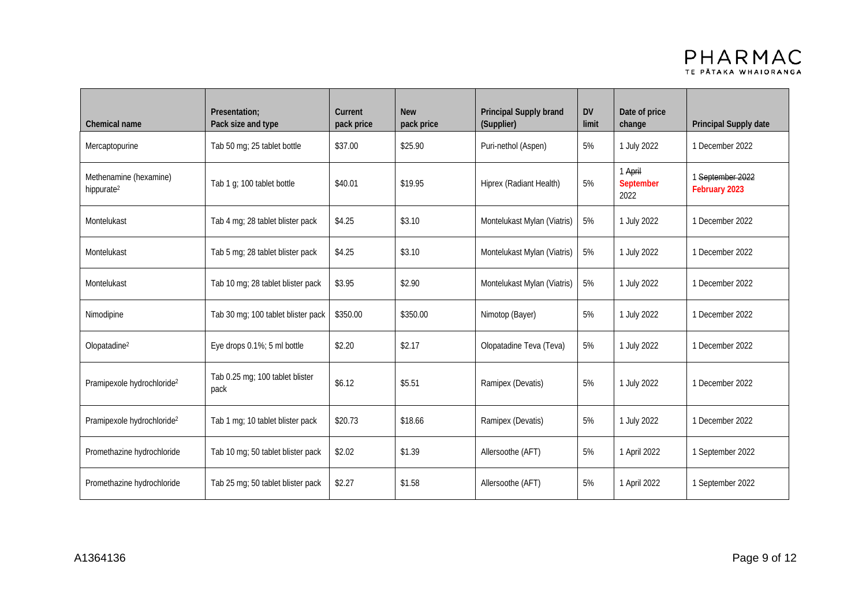

| Chemical name                                    | Presentation:<br>Pack size and type     | Current<br>pack price | <b>New</b><br>pack price | Principal Supply brand<br>(Supplier) | <b>DV</b><br>limit | Date of price<br>change      | Principal Supply date             |
|--------------------------------------------------|-----------------------------------------|-----------------------|--------------------------|--------------------------------------|--------------------|------------------------------|-----------------------------------|
| Mercaptopurine                                   | Tab 50 mg; 25 tablet bottle             | \$37.00               | \$25.90                  | Puri-nethol (Aspen)                  | 5%                 | 1 July 2022                  | 1 December 2022                   |
| Methenamine (hexamine)<br>hippurate <sup>2</sup> | Tab 1 g; 100 tablet bottle              | \$40.01               | \$19.95                  | Hiprex (Radiant Health)              | 5%                 | 1 April<br>September<br>2022 | 1 September 2022<br>February 2023 |
| Montelukast                                      | Tab 4 mg; 28 tablet blister pack        | \$4.25                | \$3.10                   | Montelukast Mylan (Viatris)          | 5%                 | 1 July 2022                  | 1 December 2022                   |
| Montelukast                                      | Tab 5 mg; 28 tablet blister pack        | \$4.25                | \$3.10                   | Montelukast Mylan (Viatris)          | 5%                 | 1 July 2022                  | 1 December 2022                   |
| Montelukast                                      | Tab 10 mg; 28 tablet blister pack       | \$3.95                | \$2.90                   | Montelukast Mylan (Viatris)          | 5%                 | 1 July 2022                  | 1 December 2022                   |
| Nimodipine                                       | Tab 30 mg; 100 tablet blister pack      | \$350.00              | \$350.00                 | Nimotop (Bayer)                      | 5%                 | 1 July 2022                  | 1 December 2022                   |
| Olopatadine <sup>2</sup>                         | Eye drops 0.1%; 5 ml bottle             | \$2.20                | \$2.17                   | Olopatadine Teva (Teva)              | 5%                 | 1 July 2022                  | 1 December 2022                   |
| Pramipexole hydrochloride <sup>2</sup>           | Tab 0.25 mg; 100 tablet blister<br>pack | \$6.12                | \$5.51                   | Ramipex (Devatis)                    | 5%                 | 1 July 2022                  | 1 December 2022                   |
| Pramipexole hydrochloride <sup>2</sup>           | Tab 1 mg; 10 tablet blister pack        | \$20.73               | \$18.66                  | Ramipex (Devatis)                    | 5%                 | 1 July 2022                  | 1 December 2022                   |
| Promethazine hydrochloride                       | Tab 10 mg; 50 tablet blister pack       | \$2.02                | \$1.39                   | Allersoothe (AFT)                    | 5%                 | 1 April 2022                 | 1 September 2022                  |
| Promethazine hydrochloride                       | Tab 25 mg; 50 tablet blister pack       | \$2.27                | \$1.58                   | Allersoothe (AFT)                    | 5%                 | 1 April 2022                 | 1 September 2022                  |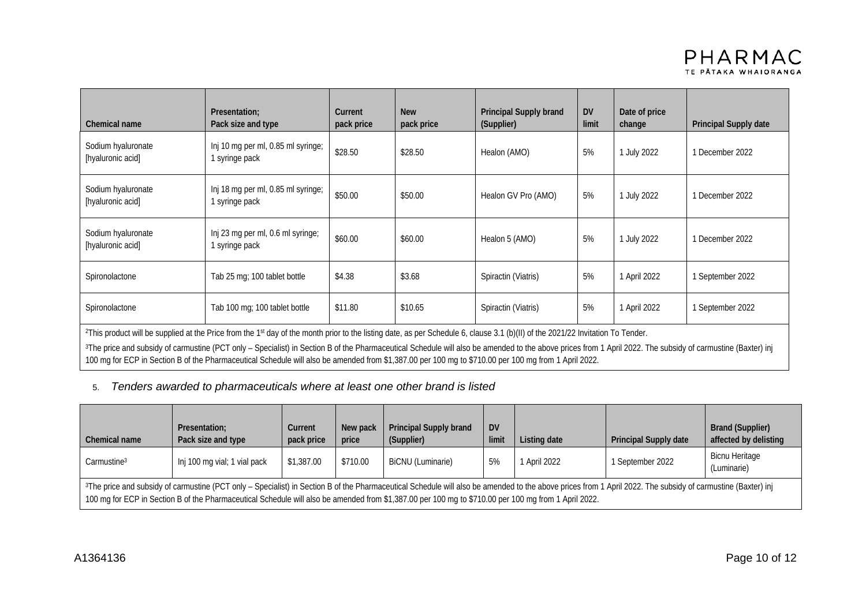| Chemical name                                                                                                                                                                                                                                                                                                                                                                                                                      | Presentation:<br>Pack size and type                                                                                                                  | Current<br>pack price | <b>New</b><br>pack price | Principal Supply brand<br>(Supplier) | <b>DV</b><br>limit | Date of price<br>change | Principal Supply date |
|------------------------------------------------------------------------------------------------------------------------------------------------------------------------------------------------------------------------------------------------------------------------------------------------------------------------------------------------------------------------------------------------------------------------------------|------------------------------------------------------------------------------------------------------------------------------------------------------|-----------------------|--------------------------|--------------------------------------|--------------------|-------------------------|-----------------------|
| Sodium hyaluronate<br>[hyaluronic acid]                                                                                                                                                                                                                                                                                                                                                                                            | Inj 10 mg per ml, 0.85 ml syringe;<br>1 syringe pack                                                                                                 | \$28.50               | \$28.50                  | Healon (AMO)                         | 5%                 | July 2022               | 1 December 2022       |
| Sodium hyaluronate<br>[hyaluronic acid]                                                                                                                                                                                                                                                                                                                                                                                            | Inj 18 mg per ml, 0.85 ml syringe;<br>1 syringe pack                                                                                                 | \$50.00               | \$50.00                  | Healon GV Pro (AMO)                  | 5%                 | 1 July 2022             | 1 December 2022       |
| Sodium hyaluronate<br>[hyaluronic acid]                                                                                                                                                                                                                                                                                                                                                                                            | Inj 23 mg per ml, 0.6 ml syringe;<br>1 syringe pack                                                                                                  | \$60.00               | \$60.00                  | Healon 5 (AMO)                       | 5%                 | July 2022               | 1 December 2022       |
| Spironolactone                                                                                                                                                                                                                                                                                                                                                                                                                     | Tab 25 mg; 100 tablet bottle                                                                                                                         | \$4.38                | \$3.68                   | Spiractin (Viatris)                  | 5%                 | 1 April 2022            | 1 September 2022      |
| Spironolactone                                                                                                                                                                                                                                                                                                                                                                                                                     | Tab 100 mg; 100 tablet bottle                                                                                                                        | \$11.80               | \$10.65                  | Spiractin (Viatris)                  | 5%                 | 1 April 2022            | 1 September 2022      |
| <sup>2</sup> This product will be supplied at the Price from the 1 <sup>st</sup> day of the month prior to the listing date, as per Schedule 6, clause 3.1 (b)(II) of the 2021/22 Invitation To Tender.<br><sup>3</sup> The price and subsidy of carmustine (PCT only - Specialist) in Section B of the Pharmaceutical Schedule will also be amended to the above prices from 1 April 2022. The subsidy of carmustine (Baxter) inj |                                                                                                                                                      |                       |                          |                                      |                    |                         |                       |
|                                                                                                                                                                                                                                                                                                                                                                                                                                    | 100 mg for ECP in Section B of the Pharmaceutical Schedule will also be amended from \$1,387.00 per 100 mg to \$710.00 per 100 mg from 1 April 2022. |                       |                          |                                      |                    |                         |                       |

#### 5. *Tenders awarded to pharmaceuticals where at least one other brand is listed*

| Chemical name                                                                                                                                                                                                                                                                                                                                                                   | Presentation:<br>Pack size and type | Current<br>pack price | New pack<br>price | <b>Principal Supply brand</b><br>(Supplier) | <b>DV</b><br>limi | Listing date | <b>Principal Supply date</b> | <b>Brand (Supplier)</b><br>affected by delisting |
|---------------------------------------------------------------------------------------------------------------------------------------------------------------------------------------------------------------------------------------------------------------------------------------------------------------------------------------------------------------------------------|-------------------------------------|-----------------------|-------------------|---------------------------------------------|-------------------|--------------|------------------------------|--------------------------------------------------|
| Carmustine <sup>3</sup>                                                                                                                                                                                                                                                                                                                                                         | Inj 100 mg vial; 1 vial pack        | \$1,387.00            | \$710.00          | BiCNU (Luminarie)                           | 5%                | April 2022   | 1 September 2022             | <b>Bicnu Heritage</b><br>(Luminarie)             |
| <sup>3</sup> The price and subsidy of carmustine (PCT only - Specialist) in Section B of the Pharmaceutical Schedule will also be amended to the above prices from 1 April 2022. The subsidy of carmustine (Baxter) inj<br>100 mg for ECP in Section B of the Pharmaceutical Schedule will also be amended from \$1,387.00 per 100 mg to \$710.00 per 100 mg from 1 April 2022. |                                     |                       |                   |                                             |                   |              |                              |                                                  |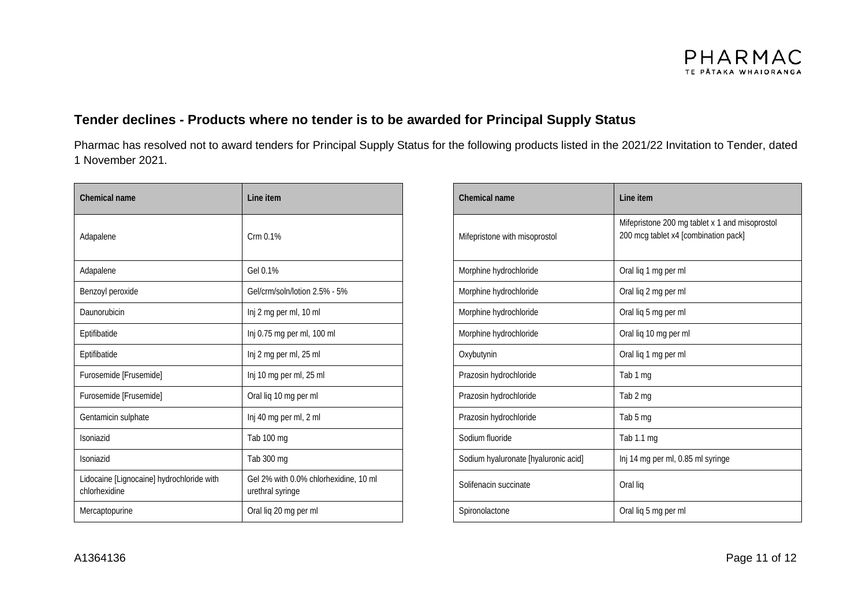

## **Tender declines - Products where no tender is to be awarded for Principal Supply Status**

Pharmac has resolved not to award tenders for Principal Supply Status for the following products listed in the 2021/22 Invitation to Tender, dated 1 November 2021.

| Chemical name                                              | Line item                                                 | Chemical name                        | Line item                                                             |
|------------------------------------------------------------|-----------------------------------------------------------|--------------------------------------|-----------------------------------------------------------------------|
| Adapalene                                                  | Crm 0.1%                                                  | Mifepristone with misoprostol        | Mifepristone 200 mg tablet x 1 at<br>200 mcg tablet x4 [combination p |
| Adapalene                                                  | Gel 0.1%                                                  | Morphine hydrochloride               | Oral liq 1 mg per ml                                                  |
| Benzoyl peroxide                                           | Gel/crm/soln/lotion 2.5% - 5%                             | Morphine hydrochloride               | Oral liq 2 mg per ml                                                  |
| Daunorubicin                                               | Inj 2 mg per ml, 10 ml                                    | Morphine hydrochloride               | Oral liq 5 mg per ml                                                  |
| Eptifibatide                                               | Inj 0.75 mg per ml, 100 ml                                | Morphine hydrochloride               | Oral liq 10 mg per ml                                                 |
| Eptifibatide                                               | Inj 2 mg per ml, 25 ml                                    | Oxybutynin                           | Oral liq 1 mg per ml                                                  |
| Furosemide [Frusemide]                                     | Inj 10 mg per ml, 25 ml                                   | Prazosin hydrochloride               | Tab 1 mg                                                              |
| Furosemide [Frusemide]                                     | Oral liq 10 mg per ml                                     | Prazosin hydrochloride               | Tab 2 mg                                                              |
| Gentamicin sulphate                                        | Inj 40 mg per ml, 2 ml                                    | Prazosin hydrochloride               | Tab 5 mg                                                              |
| Isoniazid                                                  | Tab 100 mg                                                | Sodium fluoride                      | Tab 1.1 mg                                                            |
| Isoniazid                                                  | Tab 300 mg                                                | Sodium hyaluronate [hyaluronic acid] | Inj 14 mg per ml, 0.85 ml syringe                                     |
| Lidocaine [Lignocaine] hydrochloride with<br>chlorhexidine | Gel 2% with 0.0% chlorhexidine, 10 ml<br>urethral syringe | Solifenacin succinate                | Oral lig                                                              |
| Mercaptopurine                                             | Oral liq 20 mg per ml                                     | Spironolactone                       | Oral liq 5 mg per ml                                                  |

| Line item                                                 | Chemical name                        | Line item                                                                              |  |  |
|-----------------------------------------------------------|--------------------------------------|----------------------------------------------------------------------------------------|--|--|
| Crm 0.1%                                                  | Mifepristone with misoprostol        | Mifepristone 200 mg tablet x 1 and misoprostol<br>200 mcg tablet x4 [combination pack] |  |  |
| Gel 0.1%                                                  | Morphine hydrochloride               | Oral liq 1 mg per ml                                                                   |  |  |
| Gel/crm/soln/lotion 2.5% - 5%                             | Morphine hydrochloride               | Oral liq 2 mg per ml                                                                   |  |  |
| Inj 2 mg per ml, 10 ml                                    | Morphine hydrochloride               | Oral liq 5 mg per ml                                                                   |  |  |
| Inj 0.75 mg per ml, 100 ml                                | Morphine hydrochloride               | Oral liq 10 mg per ml                                                                  |  |  |
| Inj 2 mg per ml, 25 ml                                    | Oxybutynin                           | Oral liq 1 mg per ml                                                                   |  |  |
| Inj 10 mg per ml, 25 ml                                   | Prazosin hydrochloride               | Tab 1 mg                                                                               |  |  |
| Oral liq 10 mg per ml                                     | Prazosin hydrochloride               | Tab 2 mg                                                                               |  |  |
| Inj 40 mg per ml, 2 ml                                    | Prazosin hydrochloride               | Tab 5 mg                                                                               |  |  |
| Tab 100 mg                                                | Sodium fluoride                      | Tab 1.1 mg                                                                             |  |  |
| Tab 300 mg                                                | Sodium hyaluronate [hyaluronic acid] | Inj 14 mg per ml, 0.85 ml syringe                                                      |  |  |
| Gel 2% with 0.0% chlorhexidine, 10 ml<br>urethral syringe | Solifenacin succinate                | Oral lig                                                                               |  |  |
| Oral liq 20 mg per ml                                     | Spironolactone                       | Oral liq 5 mg per ml                                                                   |  |  |